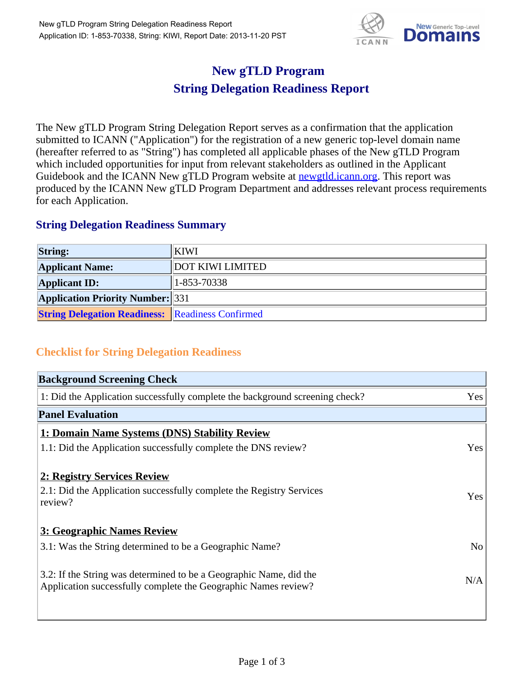

## **New gTLD Program String Delegation Readiness Report**

The New gTLD Program String Delegation Report serves as a confirmation that the application submitted to ICANN ("Application") for the registration of a new generic top-level domain name (hereafter referred to as "String") has completed all applicable phases of the New gTLD Program which included opportunities for input from relevant stakeholders as outlined in the Applicant Guidebook and the ICANN New gTLD Program website at **newgtld.jcann.org**. This report was produced by the ICANN New gTLD Program Department and addresses relevant process requirements for each Application.

## **String Delegation Readiness Summary**

| <b>String:</b>                                          | <b>KIWI</b>             |
|---------------------------------------------------------|-------------------------|
| <b>Applicant Name:</b>                                  | <b>DOT KIWI LIMITED</b> |
| <b>Applicant ID:</b>                                    | $ 1 - 853 - 70338 $     |
| <b>Application Priority Number: 331</b>                 |                         |
| <b>String Delegation Readiness:</b> Readiness Confirmed |                         |

## **Checklist for String Delegation Readiness**

| <b>Background Screening Check</b>                                            |                |
|------------------------------------------------------------------------------|----------------|
| 1: Did the Application successfully complete the background screening check? | Yes            |
| <b>Panel Evaluation</b>                                                      |                |
| 1: Domain Name Systems (DNS) Stability Review                                |                |
| 1.1: Did the Application successfully complete the DNS review?               | Yes            |
| 2: Registry Services Review                                                  |                |
| 2.1: Did the Application successfully complete the Registry Services         | Yes            |
| review?                                                                      |                |
| <b>3: Geographic Names Review</b>                                            |                |
| 3.1: Was the String determined to be a Geographic Name?                      | N <sub>o</sub> |
| 3.2: If the String was determined to be a Geographic Name, did the           |                |
| Application successfully complete the Geographic Names review?               | N/A            |
|                                                                              |                |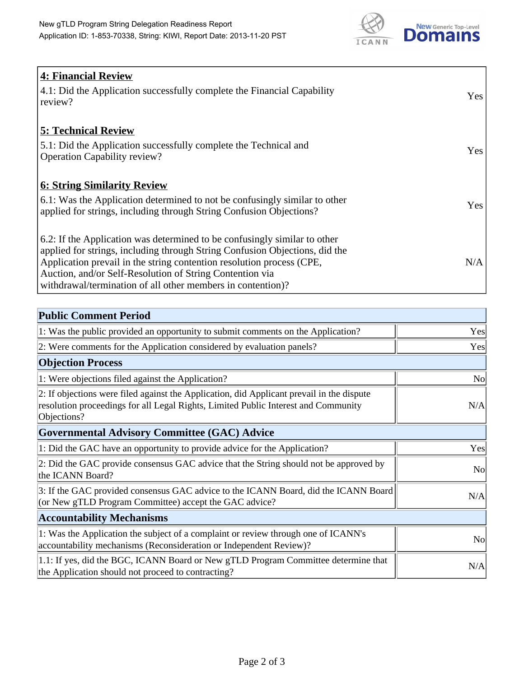

| <b>4: Financial Review</b>                                                  |     |
|-----------------------------------------------------------------------------|-----|
| 4.1: Did the Application successfully complete the Financial Capability     | Yes |
| review?                                                                     |     |
|                                                                             |     |
| <b>5: Technical Review</b>                                                  |     |
| 5.1: Did the Application successfully complete the Technical and            |     |
| <b>Operation Capability review?</b>                                         | Yes |
|                                                                             |     |
| <b>6: String Similarity Review</b>                                          |     |
| 6.1: Was the Application determined to not be confusingly similar to other  | Yes |
| applied for strings, including through String Confusion Objections?         |     |
|                                                                             |     |
| 6.2: If the Application was determined to be confusingly similar to other   |     |
| applied for strings, including through String Confusion Objections, did the |     |
| Application prevail in the string contention resolution process (CPE,       | N/A |
| Auction, and/or Self-Resolution of String Contention via                    |     |
| withdrawal/termination of all other members in contention)?                 |     |

| <b>Public Comment Period</b>                                                                                                                                                                   |                |
|------------------------------------------------------------------------------------------------------------------------------------------------------------------------------------------------|----------------|
| 1: Was the public provided an opportunity to submit comments on the Application?                                                                                                               | Yes            |
| 2: Were comments for the Application considered by evaluation panels?                                                                                                                          | Yes            |
| <b>Objection Process</b>                                                                                                                                                                       |                |
| 1: Were objections filed against the Application?                                                                                                                                              | <b>No</b>      |
| 2: If objections were filed against the Application, did Applicant prevail in the dispute<br>resolution proceedings for all Legal Rights, Limited Public Interest and Community<br>Objections? | N/A            |
| <b>Governmental Advisory Committee (GAC) Advice</b>                                                                                                                                            |                |
| 1: Did the GAC have an opportunity to provide advice for the Application?                                                                                                                      | Yes            |
| 2: Did the GAC provide consensus GAC advice that the String should not be approved by<br>the ICANN Board?                                                                                      | N <sub>o</sub> |
| 3: If the GAC provided consensus GAC advice to the ICANN Board, did the ICANN Board<br>(or New gTLD Program Committee) accept the GAC advice?                                                  | N/A            |
| <b>Accountability Mechanisms</b>                                                                                                                                                               |                |
| 1: Was the Application the subject of a complaint or review through one of ICANN's<br>accountability mechanisms (Reconsideration or Independent Review)?                                       | N <sub>o</sub> |
| 1.1: If yes, did the BGC, ICANN Board or New gTLD Program Committee determine that<br>the Application should not proceed to contracting?                                                       | N/A            |